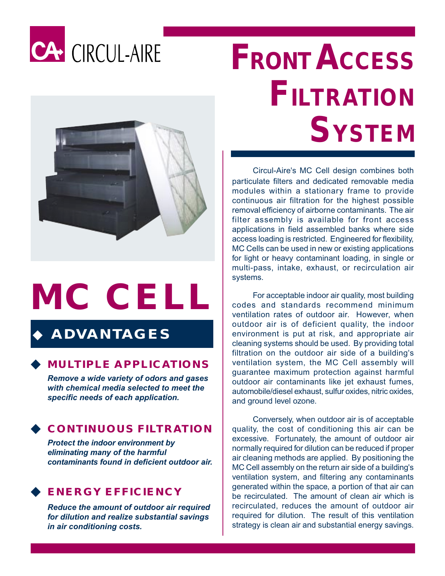

## **FRONT ACCESS FILTRATION SYSTEM**



# **MC CELL**

### ◆ **ADVANTAGES**

#### **MULTIPLE APPLICATIONS**

*Remove a wide variety of odors and gases with chemical media selected to meet the specific needs of each application.*

#### ◆ **CONTINUOUS FILTRATION**

*Protect the indoor environment by eliminating many of the harmful contaminants found in deficient outdoor air.*

#### ◆ **ENERGY EFFICIENCY**

*Reduce the amount of outdoor air required for dilution and realize substantial savings in air conditioning costs.*

Circul-Aire's MC Cell design combines both particulate filters and dedicated removable media modules within a stationary frame to provide continuous air filtration for the highest possible removal efficiency of airborne contaminants. The air filter assembly is available for front access applications in field assembled banks where side access loading is restricted. Engineered for flexibility, MC Cells can be used in new or existing applications for light or heavy contaminant loading, in single or multi-pass, intake, exhaust, or recirculation air systems.

For acceptable indoor air quality, most building codes and standards recommend minimum ventilation rates of outdoor air. However, when outdoor air is of deficient quality, the indoor environment is put at risk, and appropriate air cleaning systems should be used. By providing total filtration on the outdoor air side of a building's ventilation system, the MC Cell assembly will guarantee maximum protection against harmful outdoor air contaminants like jet exhaust fumes, automobile/diesel exhaust, sulfur oxides, nitric oxides, and ground level ozone.

Conversely, when outdoor air is of acceptable quality, the cost of conditioning this air can be excessive. Fortunately, the amount of outdoor air normally required for dilution can be reduced if proper air cleaning methods are applied. By positioning the MC Cell assembly on the return air side of a building's ventilation system, and filtering any contaminants generated within the space, a portion of that air can be recirculated. The amount of clean air which is recirculated, reduces the amount of outdoor air required for dilution. The result of this ventilation strategy is clean air and substantial energy savings.